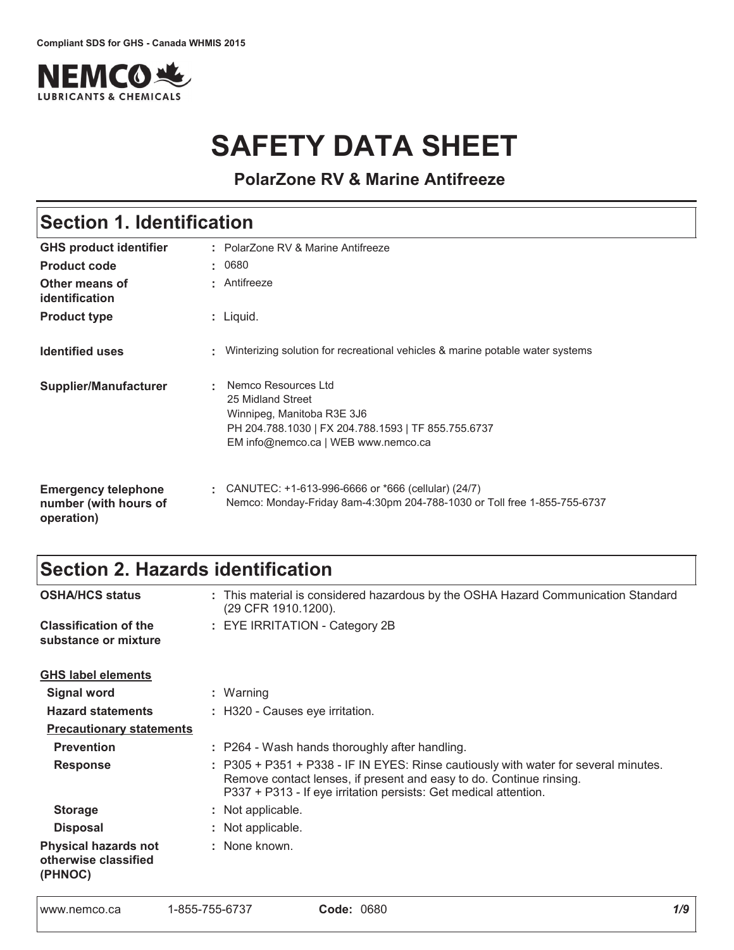

# **SAFETY DATA SHEET**

**PolarZone RV & Marine Antifreeze**

#### : Liquid. GHS product identifier **Other means of 
Product type** Section 1. Identification PolarZone RV & Marine Antifreeze Antifreeze **Product code**  $\qquad$ **: Identified uses Emergency telephone** number (with hours of operation) CANUTEC: +1-613-996-6666 or \*666 (cellular) (24/7) Winterizing solution for recreational vehicles & marine potable water systems **Supplier/Manufacturer :** 0680 Nemco Resources Ltd 25 Midland Street Winnipeg, Manitoba R3E 3J6 PH 204.788.1030 | FX 204.788.1593 | TF 855.755.6737 EM info@nemco.ca | WEB www.nemco.ca Nemco: Monday-Friday 8am-4:30pm 204-788-1030 or Toll free 1-855-755-6737

# Section 2. Hazards identification

| <b>OSHA/HCS status</b>                                         | : This material is considered hazardous by the OSHA Hazard Communication Standard<br>(29 CFR 1910.1200).                                                                                                                       |
|----------------------------------------------------------------|--------------------------------------------------------------------------------------------------------------------------------------------------------------------------------------------------------------------------------|
| <b>Classification of the</b><br>substance or mixture           | : EYE IRRITATION - Category 2B                                                                                                                                                                                                 |
| <b>GHS label elements</b>                                      |                                                                                                                                                                                                                                |
| Signal word                                                    | : Warning                                                                                                                                                                                                                      |
| <b>Hazard statements</b>                                       | : H320 - Causes eye irritation.                                                                                                                                                                                                |
| <b>Precautionary statements</b>                                |                                                                                                                                                                                                                                |
| <b>Prevention</b>                                              | : P264 - Wash hands thoroughly after handling.                                                                                                                                                                                 |
| <b>Response</b>                                                | : P305 + P351 + P338 - IF IN EYES: Rinse cautiously with water for several minutes.<br>Remove contact lenses, if present and easy to do. Continue rinsing.<br>P337 + P313 - If eye irritation persists: Get medical attention. |
| <b>Storage</b>                                                 | : Not applicable.                                                                                                                                                                                                              |
| <b>Disposal</b>                                                | : Not applicable.                                                                                                                                                                                                              |
| <b>Physical hazards not</b><br>otherwise classified<br>(PHNOC) | : None known.                                                                                                                                                                                                                  |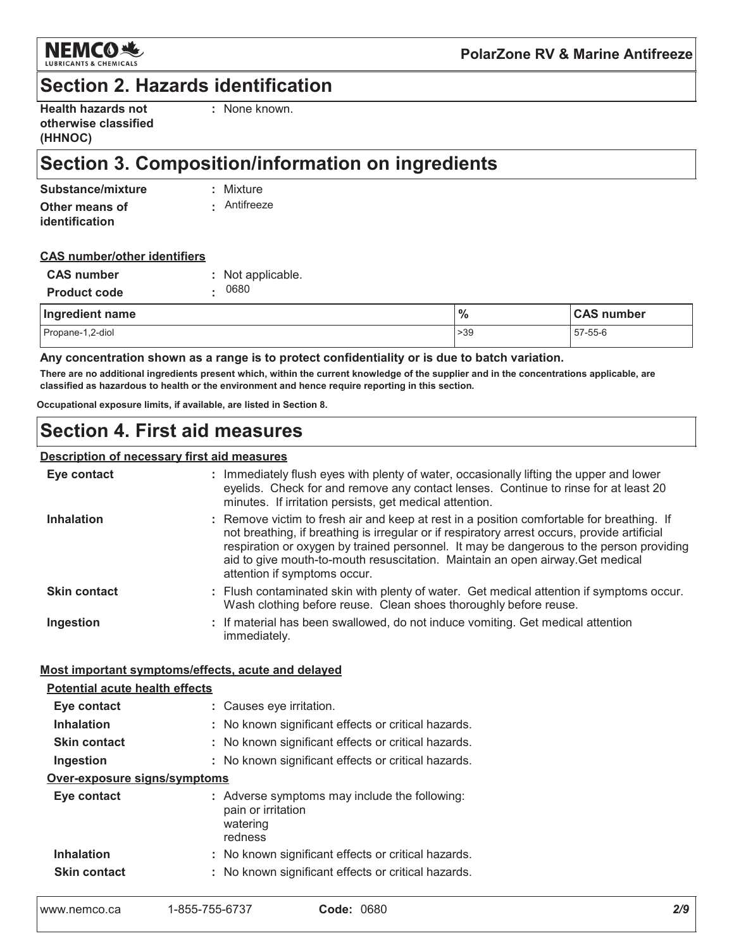

# **Section 2. Hazards identification**

| <b>Health hazards not</b> |  |
|---------------------------|--|
| otherwise classified      |  |
| (HHNOC)                   |  |

: None known.

# Section 3. Composition/information on ingredients

| Substance/mixture | : Mixture    |
|-------------------|--------------|
| Other means of    | • Antifreeze |
| identification    |              |

#### **CAS number/other identifiers**

| <b>CAS number</b>   | : Not applicable. |
|---------------------|-------------------|
| <b>Product code</b> | . 0680            |

| Ingredient name  | $\frac{9}{6}$ | <b>CAS number</b> |  |  |
|------------------|---------------|-------------------|--|--|
| Propane-1,2-diol | >39           | 57-55-6           |  |  |

Any concentration shown as a range is to protect confidentiality or is due to batch variation.

There are no additional ingredients present which, within the current knowledge of the supplier and in the concentrations applicable, are classified as hazardous to health or the environment and hence require reporting in this section.

Occupational exposure limits, if available, are listed in Section 8.

### **Section 4. First aid measures**

### **Description of necessary first aid measures**

| Eye contact         | : Immediately flush eyes with plenty of water, occasionally lifting the upper and lower<br>eyelids. Check for and remove any contact lenses. Continue to rinse for at least 20<br>minutes. If irritation persists, get medical attention.                                                                                                                                                              |
|---------------------|--------------------------------------------------------------------------------------------------------------------------------------------------------------------------------------------------------------------------------------------------------------------------------------------------------------------------------------------------------------------------------------------------------|
| <b>Inhalation</b>   | : Remove victim to fresh air and keep at rest in a position comfortable for breathing. If<br>not breathing, if breathing is irregular or if respiratory arrest occurs, provide artificial<br>respiration or oxygen by trained personnel. It may be dangerous to the person providing<br>aid to give mouth-to-mouth resuscitation. Maintain an open airway. Get medical<br>attention if symptoms occur. |
| <b>Skin contact</b> | : Flush contaminated skin with plenty of water. Get medical attention if symptoms occur.<br>Wash clothing before reuse. Clean shoes thoroughly before reuse.                                                                                                                                                                                                                                           |
| Ingestion           | : If material has been swallowed, do not induce vomiting. Get medical attention<br>immediately.                                                                                                                                                                                                                                                                                                        |

#### Most important symptoms/effects, acute and delayed

| <b>Potential acute health effects</b> |                                                                                            |  |  |  |  |  |  |
|---------------------------------------|--------------------------------------------------------------------------------------------|--|--|--|--|--|--|
| Eye contact                           | : Causes eye irritation.                                                                   |  |  |  |  |  |  |
| <b>Inhalation</b>                     | : No known significant effects or critical hazards.                                        |  |  |  |  |  |  |
| <b>Skin contact</b>                   | : No known significant effects or critical hazards.                                        |  |  |  |  |  |  |
| Ingestion                             | : No known significant effects or critical hazards.                                        |  |  |  |  |  |  |
| <u>Over-exposure signs/symptoms</u>   |                                                                                            |  |  |  |  |  |  |
| Eye contact                           | : Adverse symptoms may include the following:<br>pain or irritation<br>watering<br>redness |  |  |  |  |  |  |
| <b>Inhalation</b>                     | : No known significant effects or critical hazards.                                        |  |  |  |  |  |  |
| <b>Skin contact</b>                   | : No known significant effects or critical hazards.                                        |  |  |  |  |  |  |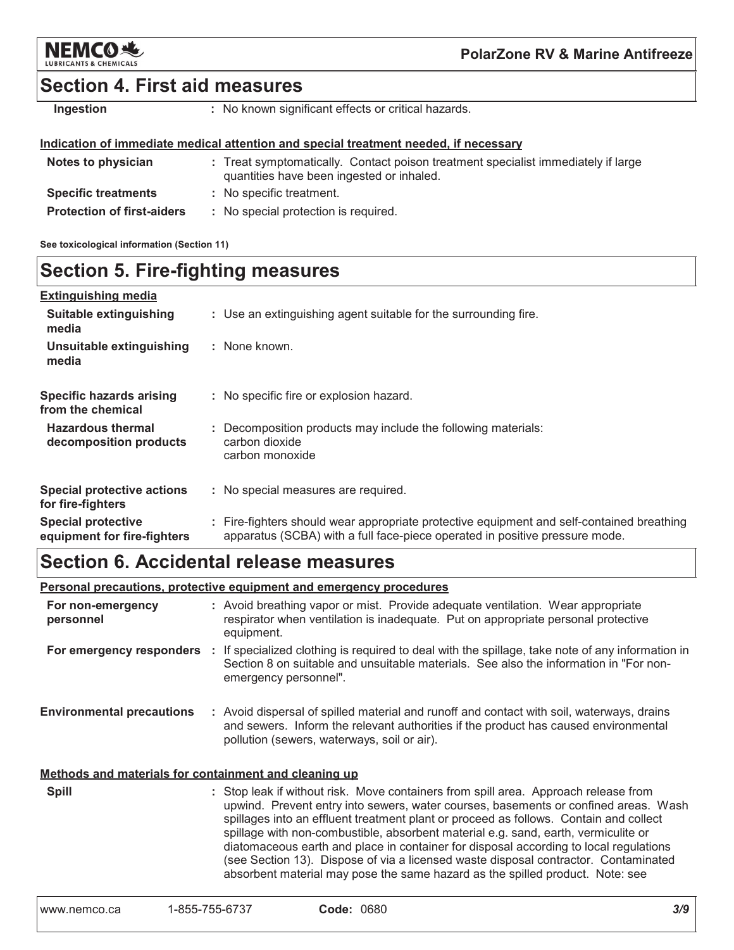

### **Section 4. First aid measures**

Ingestion

: No known significant effects or critical hazards.

#### Indication of immediate medical attention and special treatment needed, if necessary

| Notes to physician                | : Treat symptomatically. Contact poison treatment specialist immediately if large<br>quantities have been ingested or inhaled. |
|-----------------------------------|--------------------------------------------------------------------------------------------------------------------------------|
| <b>Specific treatments</b>        | : No specific treatment.                                                                                                       |
| <b>Protection of first-aiders</b> | : No special protection is required.                                                                                           |

See toxicological information (Section 11)

### **Section 5. Fire-fighting measures**

| <b>Extinguishing media</b>                               |                                                                                                                                                                          |
|----------------------------------------------------------|--------------------------------------------------------------------------------------------------------------------------------------------------------------------------|
| <b>Suitable extinguishing</b><br>media                   | : Use an extinguishing agent suitable for the surrounding fire.                                                                                                          |
| Unsuitable extinguishing<br>media                        | : None known.                                                                                                                                                            |
| <b>Specific hazards arising</b><br>from the chemical     | : No specific fire or explosion hazard.                                                                                                                                  |
| <b>Hazardous thermal</b><br>decomposition products       | : Decomposition products may include the following materials:<br>carbon dioxide<br>carbon monoxide                                                                       |
| <b>Special protective actions</b><br>for fire-fighters   | : No special measures are required.                                                                                                                                      |
| <b>Special protective</b><br>equipment for fire-fighters | : Fire-fighters should wear appropriate protective equipment and self-contained breathing<br>apparatus (SCBA) with a full face-piece operated in positive pressure mode. |

### **Section 6. Accidental release measures**

Personal precautions, protective equipment and emergency procedures

| For non-emergency<br>personnel                        | : Avoid breathing vapor or mist. Provide adequate ventilation. Wear appropriate<br>respirator when ventilation is inadequate. Put on appropriate personal protective<br>equipment.                                                                                                                                                                                                                                                                                                                                                                                                                                         |  |  |  |  |  |
|-------------------------------------------------------|----------------------------------------------------------------------------------------------------------------------------------------------------------------------------------------------------------------------------------------------------------------------------------------------------------------------------------------------------------------------------------------------------------------------------------------------------------------------------------------------------------------------------------------------------------------------------------------------------------------------------|--|--|--|--|--|
|                                                       | For emergency responders : If specialized clothing is required to deal with the spillage, take note of any information in<br>Section 8 on suitable and unsuitable materials. See also the information in "For non-<br>emergency personnel".                                                                                                                                                                                                                                                                                                                                                                                |  |  |  |  |  |
| <b>Environmental precautions</b>                      | : Avoid dispersal of spilled material and runoff and contact with soil, waterways, drains<br>and sewers. Inform the relevant authorities if the product has caused environmental<br>pollution (sewers, waterways, soil or air).                                                                                                                                                                                                                                                                                                                                                                                            |  |  |  |  |  |
| Methods and materials for containment and cleaning up |                                                                                                                                                                                                                                                                                                                                                                                                                                                                                                                                                                                                                            |  |  |  |  |  |
| <b>Spill</b>                                          | : Stop leak if without risk. Move containers from spill area. Approach release from<br>upwind. Prevent entry into sewers, water courses, basements or confined areas. Wash<br>spillages into an effluent treatment plant or proceed as follows. Contain and collect<br>spillage with non-combustible, absorbent material e.g. sand, earth, vermiculite or<br>diatomaceous earth and place in container for disposal according to local regulations<br>(see Section 13). Dispose of via a licensed waste disposal contractor. Contaminated<br>absorbent material may pose the same hazard as the spilled product. Note: see |  |  |  |  |  |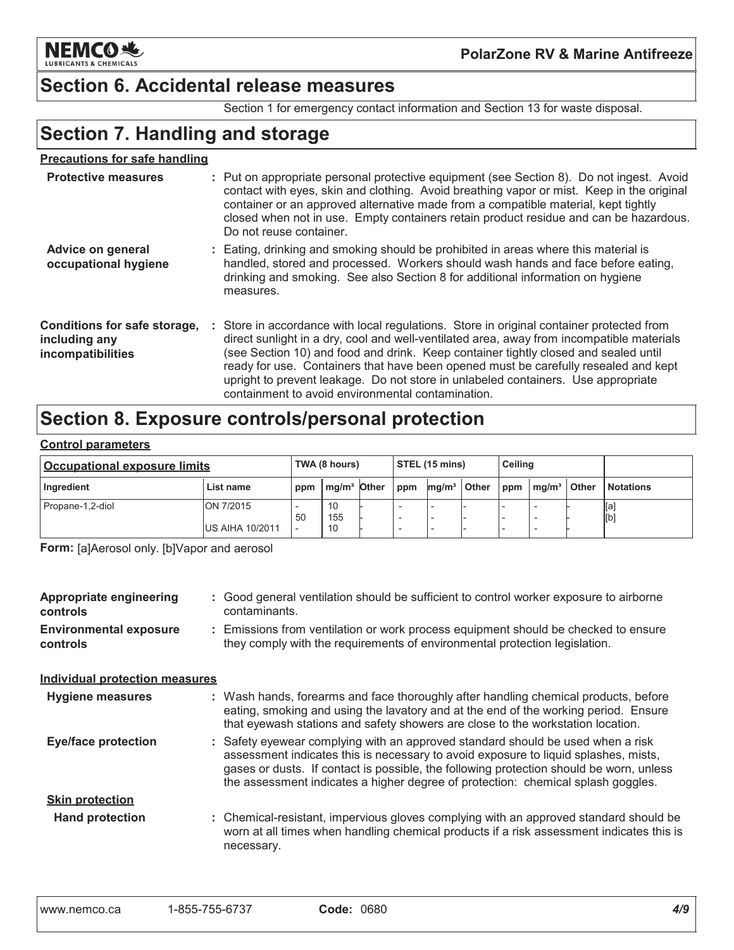

### **PolarZone RV & Marine Antifreeze**

### **Section 6. Accidental release measures**

Section 1 for emergency contact information and Section 13 for waste disposal.

# **Section 7. Handling and storage**

### **Precautions for safe handling**

| <b>Protective measures</b>                                         | : Put on appropriate personal protective equipment (see Section 8). Do not ingest. Avoid<br>contact with eyes, skin and clothing. Avoid breathing vapor or mist. Keep in the original<br>container or an approved alternative made from a compatible material, kept tightly<br>closed when not in use. Empty containers retain product residue and can be hazardous.<br>Do not reuse container.                                                                                                              |
|--------------------------------------------------------------------|--------------------------------------------------------------------------------------------------------------------------------------------------------------------------------------------------------------------------------------------------------------------------------------------------------------------------------------------------------------------------------------------------------------------------------------------------------------------------------------------------------------|
| Advice on general<br>occupational hygiene                          | : Eating, drinking and smoking should be prohibited in areas where this material is<br>handled, stored and processed. Workers should wash hands and face before eating,<br>drinking and smoking. See also Section 8 for additional information on hygiene<br>measures.                                                                                                                                                                                                                                       |
| Conditions for safe storage,<br>including any<br>incompatibilities | : Store in accordance with local regulations. Store in original container protected from<br>direct sunlight in a dry, cool and well-ventilated area, away from incompatible materials<br>(see Section 10) and food and drink. Keep container tightly closed and sealed until<br>ready for use. Containers that have been opened must be carefully resealed and kept<br>upright to prevent leakage. Do not store in unlabeled containers. Use appropriate<br>containment to avoid environmental contamination |

# Section 8. Exposure controls/personal protection

#### **Control parameters**

| <b>Occupational exposure limits</b> |                                      | TWA (8 hours)                  |                         | $\vert$ STEL (15 mins) |     |                   | Ceiling |  |                  |              |                  |
|-------------------------------------|--------------------------------------|--------------------------------|-------------------------|------------------------|-----|-------------------|---------|--|------------------|--------------|------------------|
| Ingredient                          | List name                            |                                | mg/m <sup>3</sup> Other |                        | ppm | mq/m <sup>3</sup> | ∣ Other |  | $ppm \mid mg/m3$ | <b>Other</b> | <b>Notations</b> |
| Propane-1,2-diol                    | ON 7/2015<br><b>IUS AIHA 10/2011</b> | 50<br>$\overline{\phantom{a}}$ | 10<br>155<br>10         |                        |     |                   |         |  |                  |              | Įa,<br>[b]       |

Form: [a]Aerosol only. [b]Vapor and aerosol

| Appropriate engineering<br>controls       | : Good general ventilation should be sufficient to control worker exposure to airborne<br>contaminants.                                                                                                                                                                                                                                               |
|-------------------------------------------|-------------------------------------------------------------------------------------------------------------------------------------------------------------------------------------------------------------------------------------------------------------------------------------------------------------------------------------------------------|
| <b>Environmental exposure</b><br>controls | : Emissions from ventilation or work process equipment should be checked to ensure<br>they comply with the requirements of environmental protection legislation.                                                                                                                                                                                      |
| <b>Individual protection measures</b>     |                                                                                                                                                                                                                                                                                                                                                       |
| <b>Hygiene measures</b>                   | : Wash hands, forearms and face thoroughly after handling chemical products, before<br>eating, smoking and using the lavatory and at the end of the working period. Ensure<br>that eyewash stations and safety showers are close to the workstation location.                                                                                         |
| <b>Eye/face protection</b>                | : Safety eyewear complying with an approved standard should be used when a risk<br>assessment indicates this is necessary to avoid exposure to liquid splashes, mists,<br>gases or dusts. If contact is possible, the following protection should be worn, unless<br>the assessment indicates a higher degree of protection: chemical splash goggles. |
| <b>Skin protection</b>                    |                                                                                                                                                                                                                                                                                                                                                       |
| <b>Hand protection</b>                    | : Chemical-resistant, impervious gloves complying with an approved standard should be<br>worn at all times when handling chemical products if a risk assessment indicates this is<br>necessary.                                                                                                                                                       |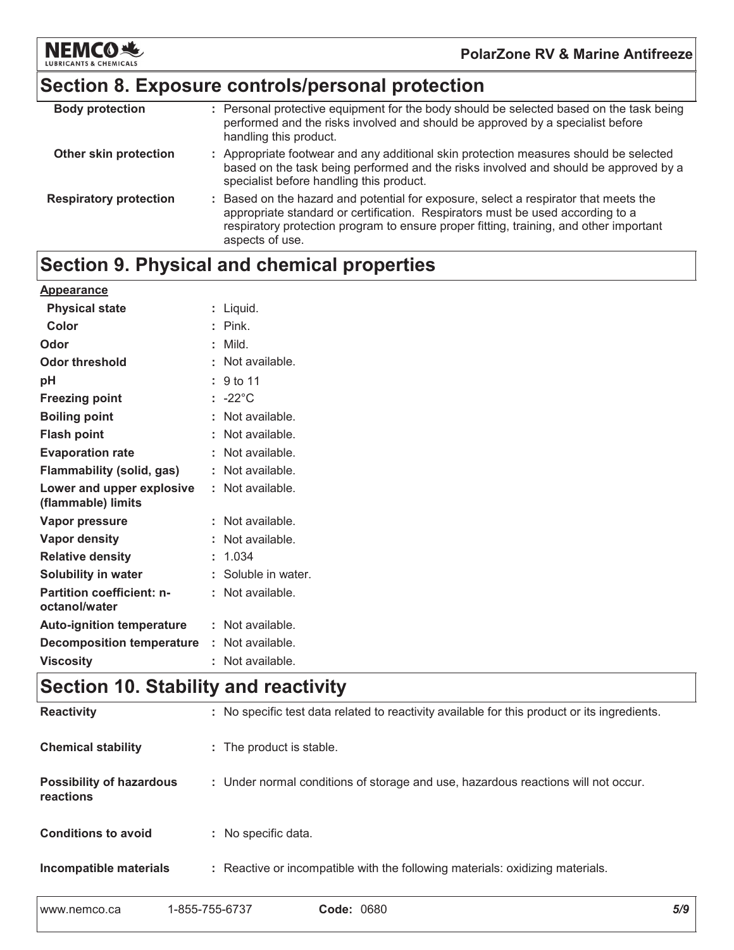

### Section 8. Exposure controls/personal protection

| <b>Body protection</b>        | : Personal protective equipment for the body should be selected based on the task being<br>performed and the risks involved and should be approved by a specialist before<br>handling this product.                                                                                 |
|-------------------------------|-------------------------------------------------------------------------------------------------------------------------------------------------------------------------------------------------------------------------------------------------------------------------------------|
| Other skin protection         | : Appropriate footwear and any additional skin protection measures should be selected<br>based on the task being performed and the risks involved and should be approved by a<br>specialist before handling this product.                                                           |
| <b>Respiratory protection</b> | : Based on the hazard and potential for exposure, select a respirator that meets the<br>appropriate standard or certification. Respirators must be used according to a<br>respiratory protection program to ensure proper fitting, training, and other important<br>aspects of use. |

# Section 9. Physical and chemical properties

| Appearance                                        |                      |
|---------------------------------------------------|----------------------|
| <b>Physical state</b>                             | : Liquid.            |
| Color                                             | $:$ Pink.            |
| Odor                                              | : Mild.              |
| <b>Odor threshold</b>                             | : Not available.     |
| pH                                                | $\therefore$ 9 to 11 |
| <b>Freezing point</b>                             | $: -22^{\circ}$ C    |
| <b>Boiling point</b>                              | : Not available.     |
| <b>Flash point</b>                                | : Not available.     |
| <b>Evaporation rate</b>                           | : Not available.     |
| <b>Flammability (solid, gas)</b>                  | : Not available.     |
| Lower and upper explosive<br>(flammable) limits   | : Not available.     |
| Vapor pressure                                    | : Not available.     |
| Vapor density                                     | : Not available.     |
| <b>Relative density</b>                           | : 1.034              |
| Solubility in water                               | : Soluble in water.  |
| <b>Partition coefficient: n-</b><br>octanol/water | : Not available.     |
| <b>Auto-ignition temperature</b>                  | $:$ Not available.   |
| <b>Decomposition temperature</b>                  | : Not available.     |
| <b>Viscosity</b>                                  | Not available.       |

# Section 10. Stability and reactivity

| <b>Reactivity</b>                            | : No specific test data related to reactivity available for this product or its ingredients. |
|----------------------------------------------|----------------------------------------------------------------------------------------------|
| <b>Chemical stability</b>                    | : The product is stable.                                                                     |
| <b>Possibility of hazardous</b><br>reactions | : Under normal conditions of storage and use, hazardous reactions will not occur.            |
| <b>Conditions to avoid</b>                   | : No specific data.                                                                          |
| Incompatible materials                       | : Reactive or incompatible with the following materials: oxidizing materials.                |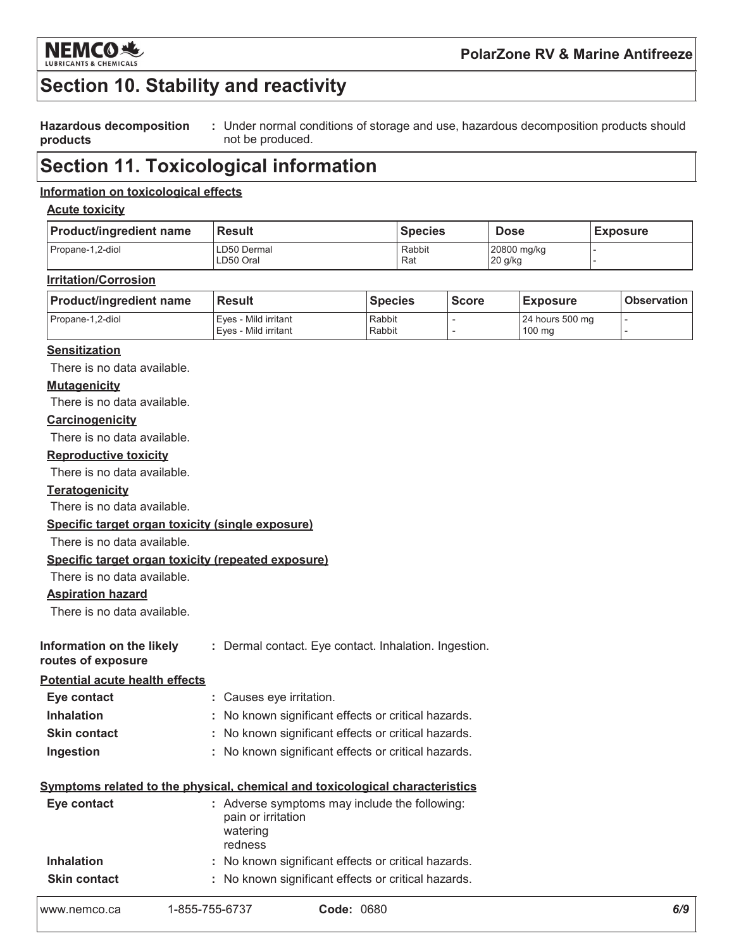

# **Section 10. Stability and reactivity**

**Hazardous decomposition** : Under normal conditions of storage and use, hazardous decomposition products should products not be produced.

### **Section 11. Toxicological information**

### Information on toxicological effects

#### **Acute toxicity**

| <b>Product/ingredient name</b> | <b>Result</b>            | <b>Species</b> | <b>Dose</b>            | <b>Exposure</b> |
|--------------------------------|--------------------------|----------------|------------------------|-----------------|
| Propane-1.2-diol               | LD50 Dermal<br>LD50 Oral | Rabbit<br>Rat  | 20800 mg/kg<br>20 g/kg |                 |

#### **Irritation/Corrosion**

| <b>Product/ingredient name</b> | l Result               | <b>Species</b> | <b>Score</b> | <b>Exposure</b>  | <b>Observation</b> |
|--------------------------------|------------------------|----------------|--------------|------------------|--------------------|
| Propane-1,2-diol               | l Eves - Mild irritant | Rabbit         |              | 24 hours 500 mg  |                    |
|                                | Eves - Mild irritant   | Rabbit         |              | $100 \text{ mg}$ |                    |

#### **Sensitization**

There is no data available.

#### **Mutagenicity**

There is no data available.

#### Carcinogenicity

There is no data available.

#### **Reproductive toxicity**

There is no data available.

#### **Teratogenicity**

There is no data available.

### Specific target organ toxicity (single exposure)

There is no data available.

#### Specific target organ toxicity (repeated exposure)

There is no data available.

### **Aspiration hazard**

There is no data available.

| Information on the likely | : Dermal contact. Eye contact. Inhalation. Ingestion. |  |  |
|---------------------------|-------------------------------------------------------|--|--|
| routes of exposure        |                                                       |  |  |

#### **Potential acute health effects**

| Eye contact         | : Causes eye irritation.                            |
|---------------------|-----------------------------------------------------|
| <b>Inhalation</b>   | : No known significant effects or critical hazards. |
| <b>Skin contact</b> | : No known significant effects or critical hazards. |
| Ingestion           | : No known significant effects or critical hazards. |

#### Symptoms related to the physical, chemical and toxicological characteristics

| Eye contact         | pain or irritation<br>watering<br>redness | : Adverse symptoms may include the following:       |
|---------------------|-------------------------------------------|-----------------------------------------------------|
| <b>Inhalation</b>   |                                           | : No known significant effects or critical hazards. |
| <b>Skin contact</b> |                                           | : No known significant effects or critical hazards. |
| www.nemco.ca        | 1-855-755-6737                            | <b>Code: 0680</b>                                   |

| www.nemco.ca | 1-855 |
|--------------|-------|
|              |       |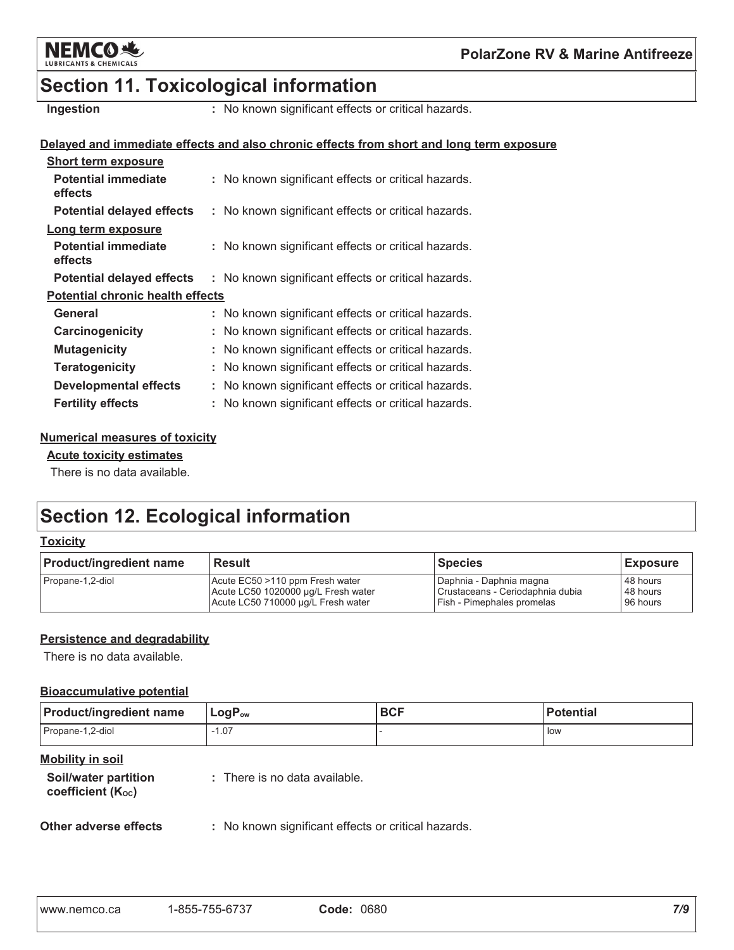

# **Section 11. Toxicological information**

Ingestion

: No known significant effects or critical hazards.

#### Delayed and immediate effects and also chronic effects from short and long term exposure

| <b>Short term exposure</b>              |                                                     |
|-----------------------------------------|-----------------------------------------------------|
| <b>Potential immediate</b><br>effects   | : No known significant effects or critical hazards. |
| <b>Potential delayed effects</b>        | : No known significant effects or critical hazards. |
| Long term exposure                      |                                                     |
| <b>Potential immediate</b><br>effects   | : No known significant effects or critical hazards. |
| <b>Potential delayed effects</b>        | : No known significant effects or critical hazards. |
| <b>Potential chronic health effects</b> |                                                     |
| General                                 | : No known significant effects or critical hazards. |
| Carcinogenicity                         | : No known significant effects or critical hazards. |
| <b>Mutagenicity</b>                     | No known significant effects or critical hazards.   |
| <b>Teratogenicity</b>                   | No known significant effects or critical hazards.   |
| <b>Developmental effects</b>            | : No known significant effects or critical hazards. |
| <b>Fertility effects</b>                | : No known significant effects or critical hazards. |

#### **Numerical measures of toxicity**

### **Acute toxicity estimates**

There is no data available.

# **Section 12. Ecological information**

### **Toxicity**

| <b>Product/ingredient name</b> | <b>Result</b>                       | Species                           | <b>Exposure</b> |
|--------------------------------|-------------------------------------|-----------------------------------|-----------------|
| Propane-1,2-diol               | Acute EC50 >110 ppm Fresh water     | Daphnia - Daphnia magna           | 48 hours        |
|                                | Acute LC50 1020000 µg/L Fresh water | Crustaceans - Ceriodaphnia dubia  | 48 hours        |
|                                | Acute LC50 710000 µg/L Fresh water  | <b>Fish - Pimephales promelas</b> | 96 hours        |

### Persistence and degradability

There is no data available.

### **Bioaccumulative potential**

| <b>Product/ingredient name</b> | $LogP_{ow}$ | <b>BCF</b> | <b>Potential</b> |
|--------------------------------|-------------|------------|------------------|
| Propane-1,2-diol               | $-1.07$     |            | low              |

### **Mobility in soil**

| Soil/water partition          | : There is no data available. |
|-------------------------------|-------------------------------|
| coefficient $(K_{\text{oc}})$ |                               |

#### Other adverse effects

: No known significant effects or critical hazards.

|--|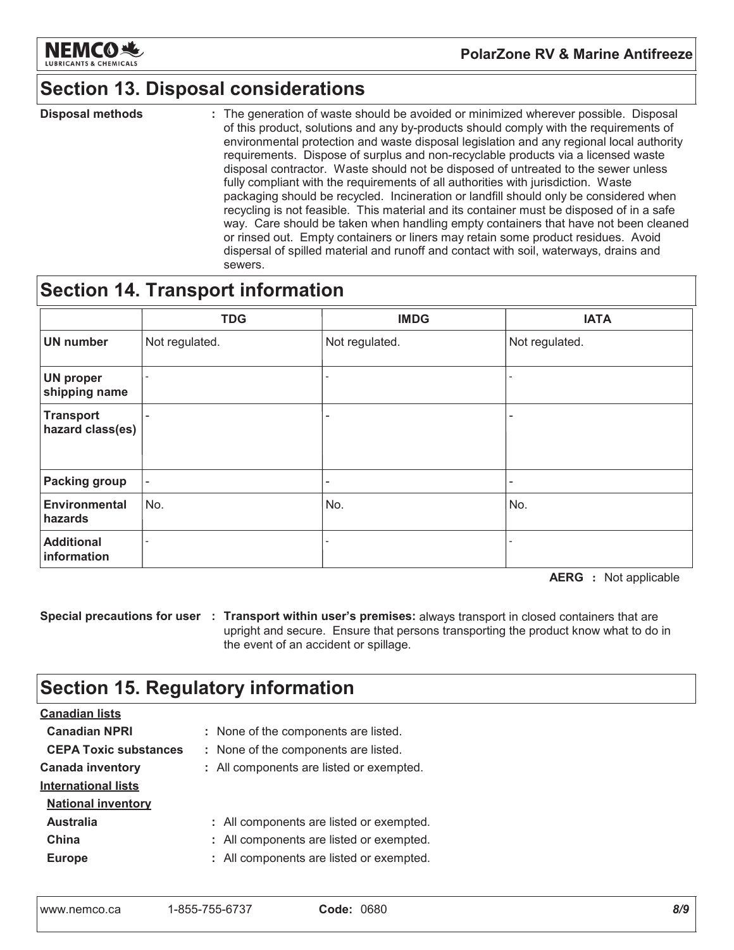

### **Section 13. Disposal considerations**

**Disposal methods** : The generation of waste should be avoided or minimized wherever possible. Disposal of this product, solutions and any by-products should comply with the requirements of environmental protection and waste disposal legislation and any regional local authority requirements. Dispose of surplus and non-recyclable products via a licensed waste disposal contractor. Waste should not be disposed of untreated to the sewer unless fully compliant with the requirements of all authorities with jurisdiction. Waste packaging should be recycled. Incineration or landfill should only be considered when recycling is not feasible. This material and its container must be disposed of in a safe way. Care should be taken when handling empty containers that have not been cleaned or rinsed out. Empty containers or liners may retain some product residues. Avoid dispersal of spilled material and runoff and contact with soil, waterways, drains and sewers.

### **Section 14. Transport information**

|                                      | <b>TDG</b>               | <b>IMDG</b>              | <b>IATA</b>              |
|--------------------------------------|--------------------------|--------------------------|--------------------------|
| <b>UN number</b>                     | Not regulated.           | Not regulated.           | Not regulated.           |
| <b>UN proper</b><br>shipping name    | $\overline{\phantom{0}}$ | $\overline{\phantom{0}}$ |                          |
| <b>Transport</b><br>hazard class(es) | $\overline{\phantom{a}}$ | ۰                        |                          |
| <b>Packing group</b>                 | $\overline{\phantom{a}}$ | -                        | $\overline{\phantom{a}}$ |
| <b>Environmental</b><br>hazards      | No.                      | No.                      | No.                      |
| <b>Additional</b><br>information     |                          |                          |                          |

**AERG** : Not applicable

Special precautions for user : Transport within user's premises: always transport in closed containers that are upright and secure. Ensure that persons transporting the product know what to do in the event of an accident or spillage.

### **Section 15. Regulatory information**

| <b>Canadian lists</b>        |                                          |
|------------------------------|------------------------------------------|
| <b>Canadian NPRI</b>         | : None of the components are listed.     |
| <b>CEPA Toxic substances</b> | : None of the components are listed.     |
| <b>Canada inventory</b>      | : All components are listed or exempted. |
| <b>International lists</b>   |                                          |
| <b>National inventory</b>    |                                          |
| <b>Australia</b>             | : All components are listed or exempted. |
| China                        | : All components are listed or exempted. |
| <b>Europe</b>                | : All components are listed or exempted. |
|                              |                                          |